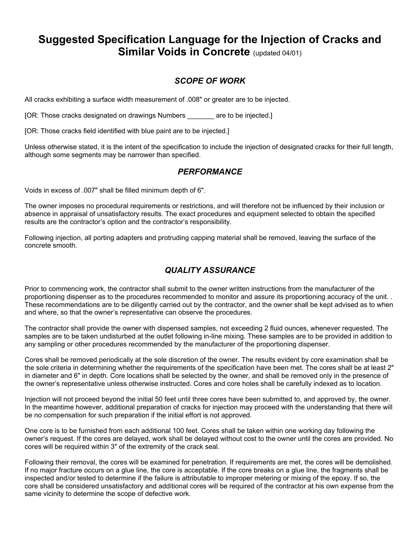# **Suggested Specification Language for the Injection of Cracks and Similar Voids in Concrete** (updated 04/01)

## *SCOPE OF WORK*

All cracks exhibiting a surface width measurement of .008" or greater are to be injected.

[OR: Those cracks designated on drawings Numbers \_\_\_\_\_\_\_ are to be injected.]

[OR: Those cracks field identified with blue paint are to be injected.]

Unless otherwise stated, it is the intent of the specification to include the injection of designated cracks for their full length, although some segments may be narrower than specified.

### *PERFORMANCE*

Voids in excess of .007" shall be filled minimum depth of 6".

The owner imposes no procedural requirements or restrictions, and will therefore not be influenced by their inclusion or absence in appraisal of unsatisfactory results. The exact procedures and equipment selected to obtain the specified results are the contractor's option and the contractor's responsibility.

Following injection, all porting adapters and protruding capping material shall be removed, leaving the surface of the concrete smooth.

# *QUALITY ASSURANCE*

Prior to commencing work, the contractor shall submit to the owner written instructions from the manufacturer of the proportioning dispenser as to the procedures recommended to monitor and assure its proportioning accuracy of the unit. . These recommendations are to be diligently carried out by the contractor, and the owner shall be kept advised as to when and where, so that the owner's representative can observe the procedures.

The contractor shall provide the owner with dispensed samples, not exceeding 2 fluid ounces, whenever requested. The samples are to be taken undisturbed at the outlet following in-line mixing. These samples are to be provided in addition to any sampling or other procedures recommended by the manufacturer of the proportioning dispenser.

Cores shall be removed periodically at the sole discretion of the owner. The results evident by core examination shall be the sole criteria in determining whether the requirements of the specification have been met. The cores shall be at least 2" in diameter and 6" in depth. Core locations shall be selected by the owner, and shall be removed only in the presence of the owner's representative unless otherwise instructed. Cores and core holes shall be carefully indexed as to location.

Injection will not proceed beyond the initial 50 feet until three cores have been submitted to, and approved by, the owner. In the meantime however, additional preparation of cracks for injection may proceed with the understanding that there will be no compensation for such preparation if the initial effort is not approved.

One core is to be furnished from each additional 100 feet. Cores shall be taken within one working day following the owner's request. If the cores are delayed, work shall be delayed without cost to the owner until the cores are provided. No cores will be required within 3" of the extremity of the crack seal.

Following their removal, the cores will be examined for penetration. If requirements are met, the cores will be demolished. If no major fracture occurs on a glue line, the core is acceptable. If the core breaks on a glue line, the fragments shall be inspected and/or tested to determine if the failure is attributable to improper metering or mixing of the epoxy. If so, the core shall be considered unsatisfactory and additional cores will be required of the contractor at his own expense from the same vicinity to determine the scope of defective work.